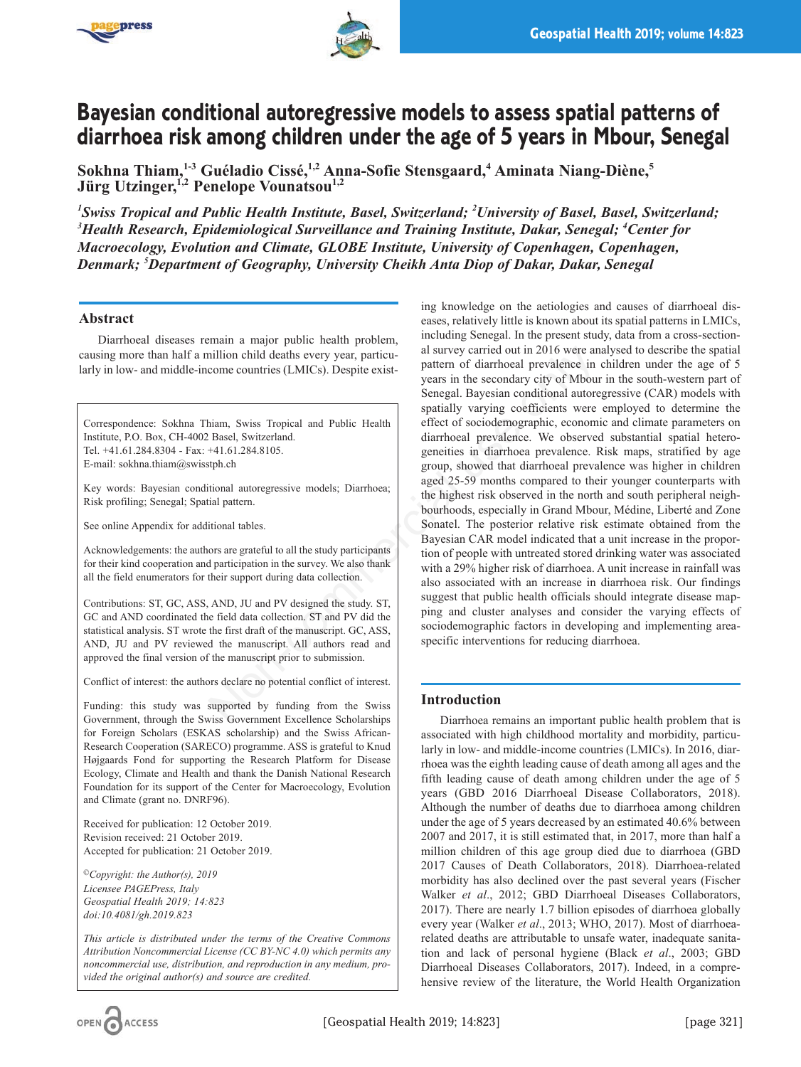



# **Bayesian conditional autoregressive models to assess spatial patterns of diarrhoea risk among children under the age of 5 years in Mbour, Senegal**

**Sokhna Thiam,1-3 Guéladio Cissé,1,2 Anna-Sofie Stensgaard,4 Aminata Niang-Diène,5 Jürg Utzinger,**<sup>1,2</sup> Penelope Vounatsou<sup>1,2</sup>

*1 Swiss Tropical and Public Health Institute, Basel, Switzerland; 2 University of Basel, Basel, Switzerland; 3 Health Research, Epidemiological Surveillance and Training Institute, Dakar, Senegal; 4 Center for Macroecology, Evolution and Climate, GLOBE Institute, University of Copenhagen, Copenhagen, Denmark; 5 Department of Geography, University Cheikh Anta Diop of Dakar, Dakar, Senegal*

# **Abstract**

Diarrhoeal diseases remain a major public health problem, causing more than half a million child deaths every year, particularly in low- and middle-income countries (LMICs). Despite exist-

Correspondence: Sokhna Thiam, Swiss Tropical and Public Health Institute, P.O. Box, CH-4002 Basel, Switzerland. Tel. +41.61.284.8304 - Fax: +41.61.284.8105. E-mail: sokhna.thiam@swisstph.ch

Key words: Bayesian conditional autoregressive models; Diarrhoea; Risk profiling; Senegal; Spatial pattern.

See online Appendix for additional tables.

Acknowledgements: the authors are grateful to all the study participants for their kind cooperation and participation in the survey. We also thank all the field enumerators for their support during data collection.

Contributions: ST, GC, ASS, AND, JU and PV designed the study. ST, GC and AND coordinated the field data collection. ST and PV did the statistical analysis. ST wrote the first draft of the manuscript. GC, ASS, AND, JU and PV reviewed the manuscript. All authors read and approved the final version of the manuscript prior to submission.

Conflict of interest: the authors declare no potential conflict of interest.

Funding: this study was supported by funding from the Swiss Government, through the Swiss Government Excellence Scholarships for Foreign Scholars (ESKAS scholarship) and the Swiss African-Research Cooperation (SARECO) programme. ASS is grateful to Knud Højgaards Fond for supporting the Research Platform for Disease Ecology, Climate and Health and thank the Danish National Research Foundation for its support of the Center for Macroecology, Evolution and Climate (grant no. DNRF96).

Received for publication: 12 October 2019. Revision received: 21 October 2019. Accepted for publication: 21 October 2019.

*©Copyright: the Author(s), 2019 Licensee PAGEPress, Italy Geospatial Health 2019; 14:823 doi:10.4081/gh.2019.823*

*This article is distributed under the terms of the Creative Commons Attribution Noncommercial License (CC BY-NC 4.0) which permits any noncommercial use, distribution, and reproduction in any medium, provided the original author(s) and source are credited.*

ing knowledge on the aetiologies and causes of diarrhoeal diseases, relatively little is known about its spatial patterns in LMICs, including Senegal. In the present study, data from a cross-sectional survey carried out in 2016 were analysed to describe the spatial pattern of diarrhoeal prevalence in children under the age of 5 years in the secondary city of Mbour in the south-western part of Senegal. Bayesian conditional autoregressive (CAR) models with spatially varying coefficients were employed to determine the effect of sociodemographic, economic and climate parameters on diarrhoeal prevalence. We observed substantial spatial heterogeneities in diarrhoea prevalence. Risk maps, stratified by age group, showed that diarrhoeal prevalence was higher in children aged 25-59 months compared to their younger counterparts with the highest risk observed in the north and south peripheral neighbourhoods, especially in Grand Mbour, Médine, Liberté and Zone Sonatel. The posterior relative risk estimate obtained from the Bayesian CAR model indicated that a unit increase in the proportion of people with untreated stored drinking water was associated with a 29% higher risk of diarrhoea. A unit increase in rainfall was also associated with an increase in diarrhoea risk. Our findings suggest that public health officials should integrate disease mapping and cluster analyses and consider the varying effects of sociodemographic factors in developing and implementing areaspecific interventions for reducing diarrhoea. indion child deaths every year, particu-<br>
come countries (LMICs). Despite exist-<br>
years in the secondary city of Mbou<br>
Senegal. Bayesian conditional autor<br>
senegal. Bayesian conditional autor<br>
Head previous control of diar

# **Introduction**

Diarrhoea remains an important public health problem that is associated with high childhood mortality and morbidity, particularly in low- and middle-income countries (LMICs). In 2016, diarrhoea was the eighth leading cause of death among all ages and the fifth leading cause of death among children under the age of 5 years (GBD 2016 Diarrhoeal Disease Collaborators, 2018). Although the number of deaths due to diarrhoea among children under the age of 5 years decreased by an estimated 40.6% between 2007 and 2017, it is still estimated that, in 2017, more than half a million children of this age group died due to diarrhoea (GBD 2017 Causes of Death Collaborators, 2018). Diarrhoea-related morbidity has also declined over the past several years (Fischer Walker *et al*., 2012; GBD Diarrhoeal Diseases Collaborators, 2017). There are nearly 1.7 billion episodes of diarrhoea globally every year (Walker *et al*., 2013; WHO, 2017). Most of diarrhoearelated deaths are attributable to unsafe water, inadequate sanitation and lack of personal hygiene (Black *et al*., 2003; GBD Diarrhoeal Diseases Collaborators, 2017). Indeed, in a comprehensive review of the literature, the World Health Organization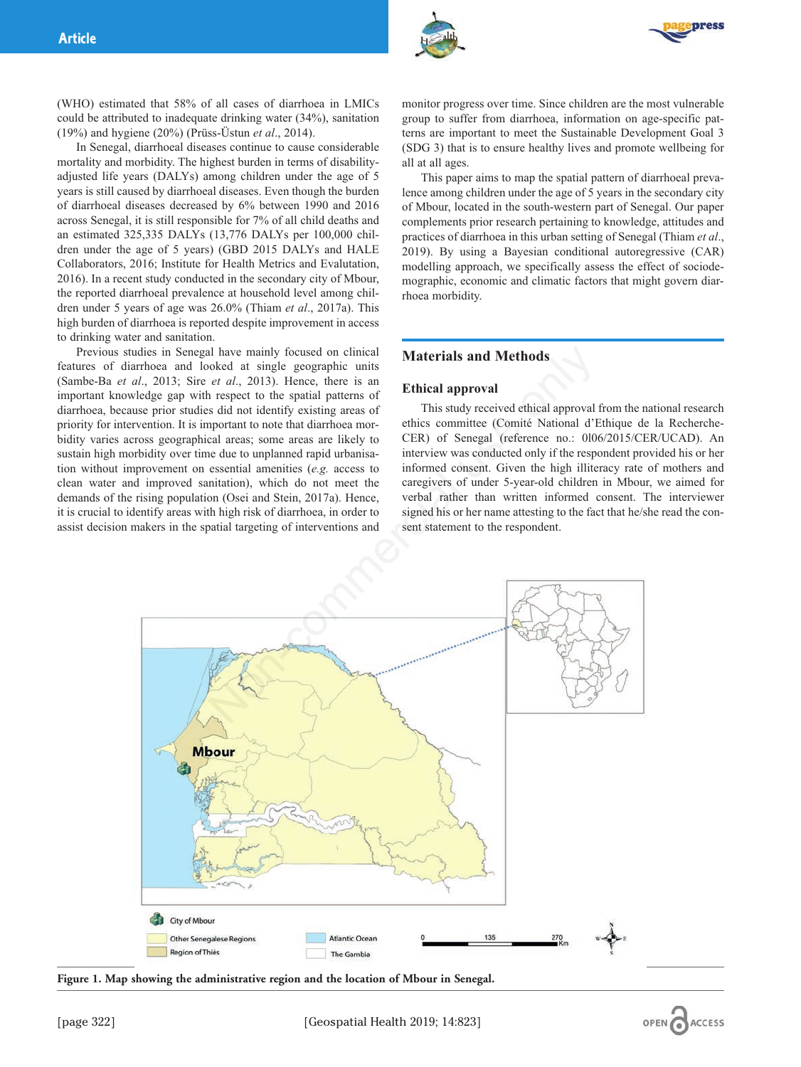



(WHO) estimated that 58% of all cases of diarrhoea in LMICs could be attributed to inadequate drinking water (34%), sanitation (19%) and hygiene (20%) (Prüss-Üstun *et al*., 2014).

In Senegal, diarrhoeal diseases continue to cause considerable mortality and morbidity. The highest burden in terms of disabilityadjusted life years (DALYs) among children under the age of 5 years is still caused by diarrhoeal diseases. Even though the burden of diarrhoeal diseases decreased by 6% between 1990 and 2016 across Senegal, it is still responsible for 7% of all child deaths and an estimated 325,335 DALYs (13,776 DALYs per 100,000 children under the age of 5 years) (GBD 2015 DALYs and HALE Collaborators, 2016; Institute for Health Metrics and Evalutation, 2016). In a recent study conducted in the secondary city of Mbour, the reported diarrhoeal prevalence at household level among children under 5 years of age was 26.0% (Thiam *et al*., 2017a). This high burden of diarrhoea is reported despite improvement in access to drinking water and sanitation.

Previous studies in Senegal have mainly focused on clinical features of diarrhoea and looked at single geographic units (Sambe-Ba *et al*., 2013; Sire *et al*., 2013). Hence, there is an important knowledge gap with respect to the spatial patterns of diarrhoea, because prior studies did not identify existing areas of priority for intervention. It is important to note that diarrhoea morbidity varies across geographical areas; some areas are likely to sustain high morbidity over time due to unplanned rapid urbanisation without improvement on essential amenities (*e.g.* access to clean water and improved sanitation), which do not meet the demands of the rising population (Osei and Stein, 2017a). Hence, it is crucial to identify areas with high risk of diarrhoea, in order to assist decision makers in the spatial targeting of interventions and

monitor progress over time. Since children are the most vulnerable group to suffer from diarrhoea, information on age-specific patterns are important to meet the Sustainable Development Goal 3 (SDG 3) that is to ensure healthy lives and promote wellbeing for all at all ages.

This paper aims to map the spatial pattern of diarrhoeal prevalence among children under the age of 5 years in the secondary city of Mbour, located in the south-western part of Senegal. Our paper complements prior research pertaining to knowledge, attitudes and practices of diarrhoea in this urban setting of Senegal (Thiam *et al*., 2019). By using a Bayesian conditional autoregressive (CAR) modelling approach, we specifically assess the effect of sociodemographic, economic and climatic factors that might govern diarrhoea morbidity.

## **Materials and Methods**

#### **Ethical approval**

This study received ethical approval from the national research ethics committee (Comité National d'Ethique de la Recherche-CER) of Senegal (reference no.: 0l06/2015/CER/UCAD). An interview was conducted only if the respondent provided his or her informed consent. Given the high illiteracy rate of mothers and caregivers of under 5-year-old children in Mbour, we aimed for verbal rather than written informed consent. The interviewer signed his or her name attesting to the fact that he/she read the consent statement to the respondent.



**Figure 1. Map showing the administrative region and the location of Mbour in Senegal.**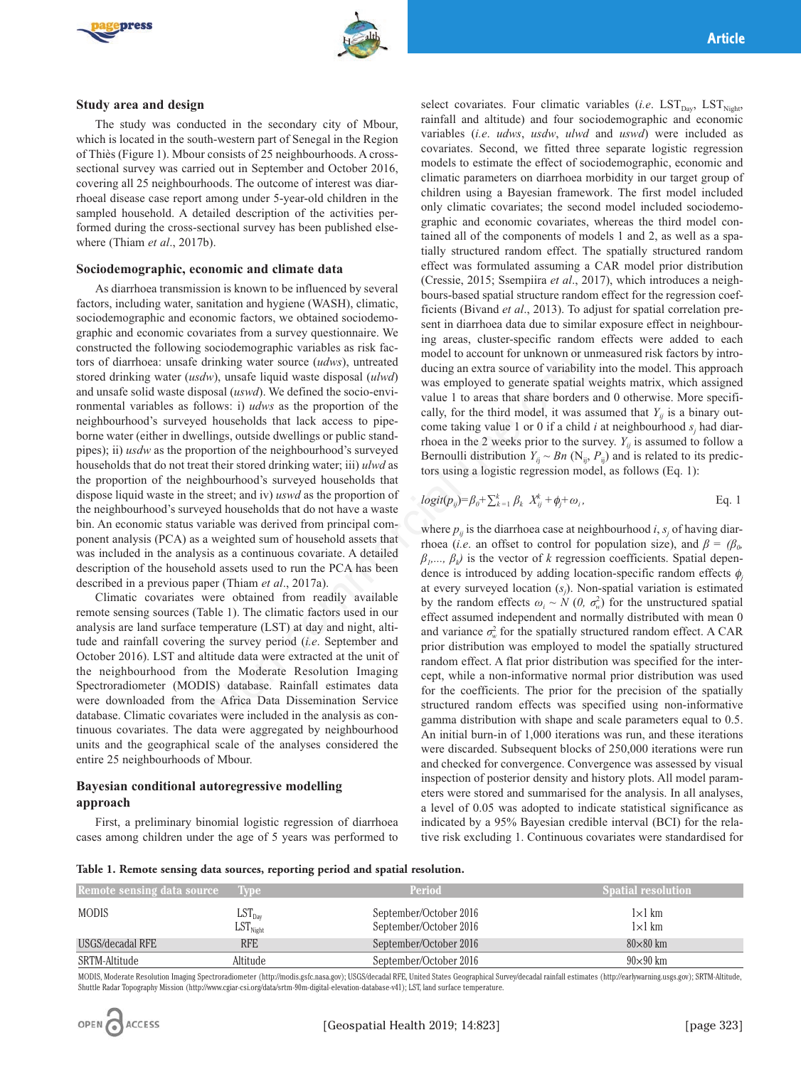



#### **Study area and design**

The study was conducted in the secondary city of Mbour, which is located in the south-western part of Senegal in the Region of Thiès (Figure 1). Mbour consists of 25 neighbourhoods. A crosssectional survey was carried out in September and October 2016, covering all 25 neighbourhoods. The outcome of interest was diarrhoeal disease case report among under 5-year-old children in the sampled household. A detailed description of the activities performed during the cross-sectional survey has been published elsewhere (Thiam *et al*., 2017b).

#### **Sociodemographic, economic and climate data**

As diarrhoea transmission is known to be influenced by several factors, including water, sanitation and hygiene (WASH), climatic, sociodemographic and economic factors, we obtained sociodemographic and economic covariates from a survey questionnaire. We constructed the following sociodemographic variables as risk factors of diarrhoea: unsafe drinking water source (*udws*), untreated stored drinking water (*usdw*), unsafe liquid waste disposal (*ulwd*) and unsafe solid waste disposal (*uswd*). We defined the socio-environmental variables as follows: i) *udws* as the proportion of the neighbourhood's surveyed households that lack access to pipeborne water (either in dwellings, outside dwellings or public standpipes); ii) *usdw* as the proportion of the neighbourhood's surveyed households that do not treat their stored drinking water; iii) *ulwd* as the proportion of the neighbourhood's surveyed households that dispose liquid waste in the street; and iv) *uswd* as the proportion of the neighbourhood's surveyed households that do not have a waste bin. An economic status variable was derived from principal component analysis (PCA) as a weighted sum of household assets that was included in the analysis as a continuous covariate. A detailed description of the household assets used to run the PCA has been described in a previous paper (Thiam *et al*., 2017a). cocomomographic variances as risk rac-<br>
while model to account for unknown or un<br>
while during water source (*udws*), untreated<br>
while during an extract subcom-<br>
while the socio-envivant source of variability<br>
bosal (*usw* 

Climatic covariates were obtained from readily available remote sensing sources (Table 1). The climatic factors used in our analysis are land surface temperature (LST) at day and night, altitude and rainfall covering the survey period (*i.e*. September and October 2016). LST and altitude data were extracted at the unit of the neighbourhood from the Moderate Resolution Imaging Spectroradiometer (MODIS) database. Rainfall estimates data were downloaded from the Africa Data Dissemination Service database. Climatic covariates were included in the analysis as continuous covariates. The data were aggregated by neighbourhood units and the geographical scale of the analyses considered the entire 25 neighbourhoods of Mbour.

# **Bayesian conditional autoregressive modelling approach**

First, a preliminary binomial logistic regression of diarrhoea cases among children under the age of 5 years was performed to

select covariates. Four climatic variables (*i.e.* LST<sub>Day</sub>, LST<sub>Night</sub>, rainfall and altitude) and four sociodemographic and economic variables (*i.e*. *udws*, *usdw*, *ulwd* and *uswd*) were included as covariates. Second, we fitted three separate logistic regression models to estimate the effect of sociodemographic, economic and climatic parameters on diarrhoea morbidity in our target group of children using a Bayesian framework. The first model included only climatic covariates; the second model included sociodemographic and economic covariates, whereas the third model contained all of the components of models 1 and 2, as well as a spatially structured random effect. The spatially structured random effect was formulated assuming a CAR model prior distribution (Cressie, 2015; Ssempiira *et al*., 2017), which introduces a neighbours-based spatial structure random effect for the regression coefficients (Bivand *et al*., 2013). To adjust for spatial correlation present in diarrhoea data due to similar exposure effect in neighbouring areas, cluster-specific random effects were added to each model to account for unknown or unmeasured risk factors by introducing an extra source of variability into the model. This approach was employed to generate spatial weights matrix, which assigned value 1 to areas that share borders and 0 otherwise. More specifically, for the third model, it was assumed that  $Y_{ii}$  is a binary outcome taking value 1 or 0 if a child  $i$  at neighbourhood  $s_i$  had diarrhoea in the 2 weeks prior to the survey.  $Y_{ii}$  is assumed to follow a Bernoulli distribution  $Y_{ii} \sim Bn$  (N<sub>ii</sub>,  $P_{ii}$ ) and is related to its predictors using a logistic regression model, as follows (Eq. 1):

$$
logit(p_{ij}) = \beta_0 + \sum_{k=1}^k \beta_k X_{ij}^k + \phi_j + \omega_i,
$$
 Eq. 1

where  $p_{ij}$  is the diarrhoea case at neighbourhood *i*,  $s_j$  of having diarrhoea (*i.e.* an offset to control for population size), and  $\beta = (\beta_0, \beta_0)$  $\beta_1, \ldots, \beta_k$ ) is the vector of *k* regression coefficients. Spatial dependence is introduced by adding location-specific random effects φ*<sup>j</sup>* at every surveyed location (*sj* ). Non-spatial variation is estimated by the random effects  $\omega_i \sim N(0, \sigma_w^2)$  for the unstructured spatial effect assumed independent and normally distributed with mean 0 and variance  $\sigma_w^2$  for the spatially structured random effect. A CAR prior distribution was employed to model the spatially structured random effect. A flat prior distribution was specified for the intercept, while a non-informative normal prior distribution was used for the coefficients. The prior for the precision of the spatially structured random effects was specified using non-informative gamma distribution with shape and scale parameters equal to 0.5. An initial burn-in of 1,000 iterations was run, and these iterations were discarded. Subsequent blocks of 250,000 iterations were run and checked for convergence. Convergence was assessed by visual inspection of posterior density and history plots. All model parameters were stored and summarised for the analysis. In all analyses, a level of 0.05 was adopted to indicate statistical significance as indicated by a 95% Bayesian credible interval (BCI) for the relative risk excluding 1. Continuous covariates were standardised for

|  |  |  | Table 1. Remote sensing data sources, reporting period and spatial resolution. |  |  |  |
|--|--|--|--------------------------------------------------------------------------------|--|--|--|
|  |  |  |                                                                                |  |  |  |
|  |  |  |                                                                                |  |  |  |

| Remote sensing data source | <b>Tivpe</b>                                                         | Period                                           | <b>Spatial resolution</b>      |
|----------------------------|----------------------------------------------------------------------|--------------------------------------------------|--------------------------------|
| <b>MODIS</b>               | $\operatorname{LST}_\text{Day}$<br>$\operatorname{LST}_\text{Right}$ | September/October 2016<br>September/October 2016 | $1\times1$ km<br>$1\times1$ km |
| USGS/decadal RFE           | <b>RFE</b>                                                           | September/October 2016                           | $80\times80$ km                |
| SRTM-Altitude              | Altitude                                                             | September/October 2016                           | $90\times90$ km                |

MODIS, Moderate Resolution Imaging Spectroradiometer (http://modis.gsfc.nasa.gov); USGS/decadal RFE, United States Geographical Survey/decadal rainfall estimates (http://earlywarning.usgs.gov); SRTM-Altitude, Shuttle Radar Topography Mission (http://www.cgiar-csi.org/data/srtm-90m-digital-elevation-database-v41); LST, land surface temperature.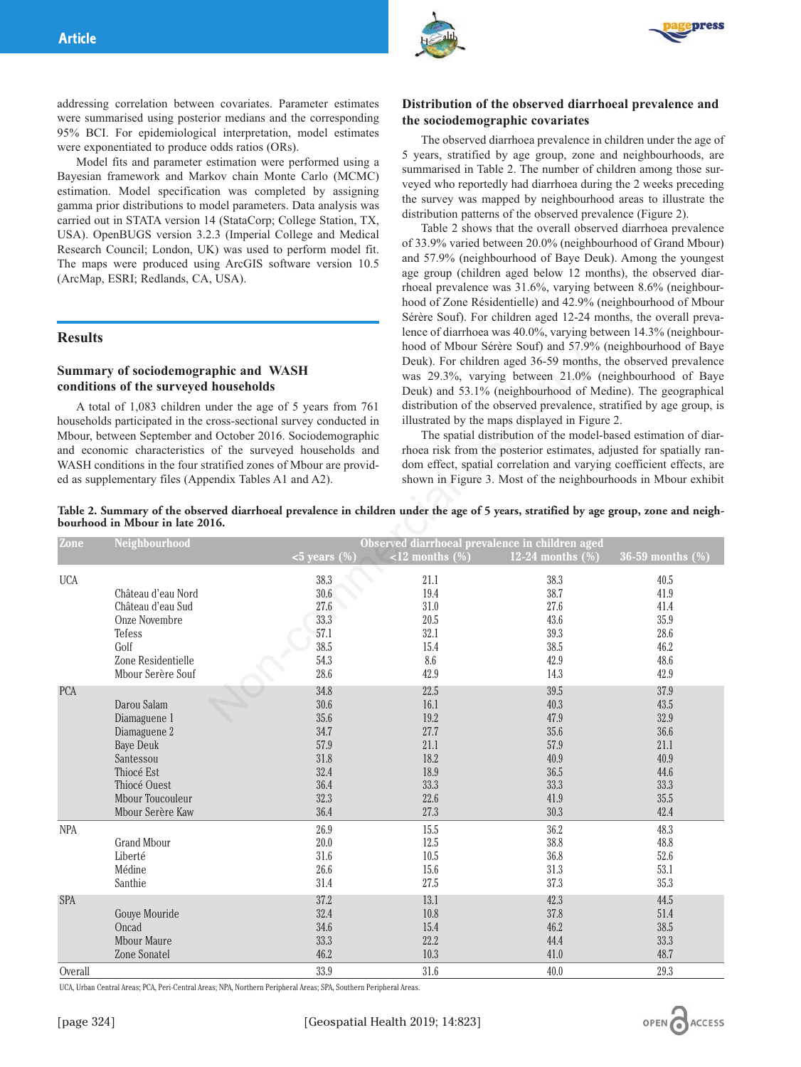



addressing correlation between covariates. Parameter estimates were summarised using posterior medians and the corresponding 95% BCI. For epidemiological interpretation, model estimates were exponentiated to produce odds ratios (ORs).

Model fits and parameter estimation were performed using a Bayesian framework and Markov chain Monte Carlo (MCMC) estimation. Model specification was completed by assigning gamma prior distributions to model parameters. Data analysis was carried out in STATA version 14 (StataCorp; College Station, TX, USA). OpenBUGS version 3.2.3 (Imperial College and Medical Research Council; London, UK) was used to perform model fit. The maps were produced using ArcGIS software version 10.5 (ArcMap, ESRI; Redlands, CA, USA).

#### **Results**

## **Summary of sociodemographic and WASH conditions of the surveyed households**

# **Distribution of the observed diarrhoeal prevalence and the sociodemographic covariates**

The observed diarrhoea prevalence in children under the age of 5 years, stratified by age group, zone and neighbourhoods, are summarised in Table 2. The number of children among those surveyed who reportedly had diarrhoea during the 2 weeks preceding the survey was mapped by neighbourhood areas to illustrate the distribution patterns of the observed prevalence (Figure 2).

Table 2 shows that the overall observed diarrhoea prevalence of 33.9% varied between 20.0% (neighbourhood of Grand Mbour) and 57.9% (neighbourhood of Baye Deuk). Among the youngest age group (children aged below 12 months), the observed diarrhoeal prevalence was 31.6%, varying between 8.6% (neighbourhood of Zone Résidentielle) and 42.9% (neighbourhood of Mbour Sérère Souf). For children aged 12-24 months, the overall prevalence of diarrhoea was 40.0%, varying between 14.3% (neighbourhood of Mbour Sérère Souf) and 57.9% (neighbourhood of Baye Deuk). For children aged 36-59 months, the observed prevalence was 29.3%, varying between 21.0% (neighbourhood of Baye Deuk) and 53.1% (neighbourhood of Medine). The geographical distribution of the observed prevalence, stratified by age group, is illustrated by the maps displayed in Figure 2.

|                | Summary of sociodemographic and WASH<br>conditions of the surveyed households<br>A total of 1,083 children under the age of 5 years from 761<br>households participated in the cross-sectional survey conducted in<br>Mbour, between September and October 2016. Sociodemographic<br>and economic characteristics of the surveyed households and<br>WASH conditions in the four stratified zones of Mbour are provid-<br>ed as supplementary files (Appendix Tables A1 and A2).<br>bourhood in Mbour in late 2016. |                                                                              | $1000$ of Mbour Serere Sour) and $37.976$ (heighbourhood of Baye<br>Deuk). For children aged 36-59 months, the observed prevalence<br>was 29.3%, varying between 21.0% (neighbourhood of Baye<br>Deuk) and 53.1% (neighbourhood of Medine). The geographical<br>distribution of the observed prevalence, stratified by age group, is<br>illustrated by the maps displayed in Figure 2.<br>The spatial distribution of the model-based estimation of diar-<br>rhoea risk from the posterior estimates, adjusted for spatially ran-<br>dom effect, spatial correlation and varying coefficient effects, are<br>shown in Figure 3. Most of the neighbourhoods in Mbour exhibit<br>Table 2. Summary of the observed diarrhoeal prevalence in children under the age of 5 years, stratified by age group, zone and neigh- |                                                                                  |                                                                              |  |
|----------------|--------------------------------------------------------------------------------------------------------------------------------------------------------------------------------------------------------------------------------------------------------------------------------------------------------------------------------------------------------------------------------------------------------------------------------------------------------------------------------------------------------------------|------------------------------------------------------------------------------|----------------------------------------------------------------------------------------------------------------------------------------------------------------------------------------------------------------------------------------------------------------------------------------------------------------------------------------------------------------------------------------------------------------------------------------------------------------------------------------------------------------------------------------------------------------------------------------------------------------------------------------------------------------------------------------------------------------------------------------------------------------------------------------------------------------------|----------------------------------------------------------------------------------|------------------------------------------------------------------------------|--|
| Zone           | Neighbourhood                                                                                                                                                                                                                                                                                                                                                                                                                                                                                                      | $\overline{5}$ years $(\frac{9}{0})$                                         | $\le$ 12 months $(\%)$                                                                                                                                                                                                                                                                                                                                                                                                                                                                                                                                                                                                                                                                                                                                                                                               | Observed diarrhoeal prevalence in children aged<br>12-24 months $(\%)$           | $36-59$ months $(\%)$                                                        |  |
| <b>UCA</b>     | Château d'eau Nord<br>Château d'eau Sud<br>Onze Novembre<br>Tefess<br>Golf<br>Zone Residentielle<br>Mbour Serère Souf                                                                                                                                                                                                                                                                                                                                                                                              | 38.3<br>$30.6\,$<br>27.6<br>33.3<br>57.1<br>38.5<br>54.3<br>28.6             | 21.1<br>19.4<br>31.0<br>$20.5\,$<br>32.1<br>15.4<br>8.6<br>42.9                                                                                                                                                                                                                                                                                                                                                                                                                                                                                                                                                                                                                                                                                                                                                      | 38.3<br>38.7<br>27.6<br>43.6<br>39.3<br>38.5<br>42.9<br>14.3                     | 40.5<br>41.9<br>41.4<br>35.9<br>28.6<br>46.2<br>48.6<br>42.9                 |  |
| <b>PCA</b>     | Darou Salam<br>Diamaguene 1<br>Diamaguene 2<br><b>Baye Deuk</b><br>Santessou<br>Thiocé Est<br>Thiocé Ouest<br>Mbour Toucouleur<br>Mbour Serère Kaw                                                                                                                                                                                                                                                                                                                                                                 | 34.8<br>30.6<br>35.6<br>34.7<br>57.9<br>31.8<br>32.4<br>36.4<br>32.3<br>36.4 | 22.5<br>16.1<br>19.2<br>27.7<br>21.1<br>18.2<br>18.9<br>33.3<br>22.6<br>27.3                                                                                                                                                                                                                                                                                                                                                                                                                                                                                                                                                                                                                                                                                                                                         | 39.5<br>40.3<br>47.9<br>35.6<br>57.9<br>40.9<br>36.5<br>33.3<br>41.9<br>$30.3\,$ | 37.9<br>43.5<br>32.9<br>36.6<br>21.1<br>40.9<br>44.6<br>33.3<br>35.5<br>42.4 |  |
| <b>NPA</b>     | <b>Grand Mbour</b><br>Liberté<br>Médine<br>Santhie                                                                                                                                                                                                                                                                                                                                                                                                                                                                 | 26.9<br>20.0<br>31.6<br>26.6<br>31.4                                         | 15.5<br>12.5<br>10.5<br>15.6<br>27.5                                                                                                                                                                                                                                                                                                                                                                                                                                                                                                                                                                                                                                                                                                                                                                                 | 36.2<br>38.8<br>36.8<br>31.3<br>$37.3\,$                                         | 48.3<br>48.8<br>52.6<br>53.1<br>$35.3\,$                                     |  |
| SPA<br>Overall | Gouye Mouride<br>Oncad<br>Mbour Maure<br>Zone Sonatel                                                                                                                                                                                                                                                                                                                                                                                                                                                              | 37.2<br>32.4<br>34.6<br>33.3<br>46.2<br>33.9                                 | 13.1<br>10.8<br>15.4<br>22.2<br>10.3<br>31.6                                                                                                                                                                                                                                                                                                                                                                                                                                                                                                                                                                                                                                                                                                                                                                         | 42.3<br>37.8<br>46.2<br>44.4<br>41.0<br>40.0                                     | 44.5<br>51.4<br>38.5<br>33.3<br>48.7<br>29.3                                 |  |

UCA, Urban Central Areas; PCA, Peri-Central Areas; NPA, Northern Peripheral Areas; SPA, Southern Peripheral Areas.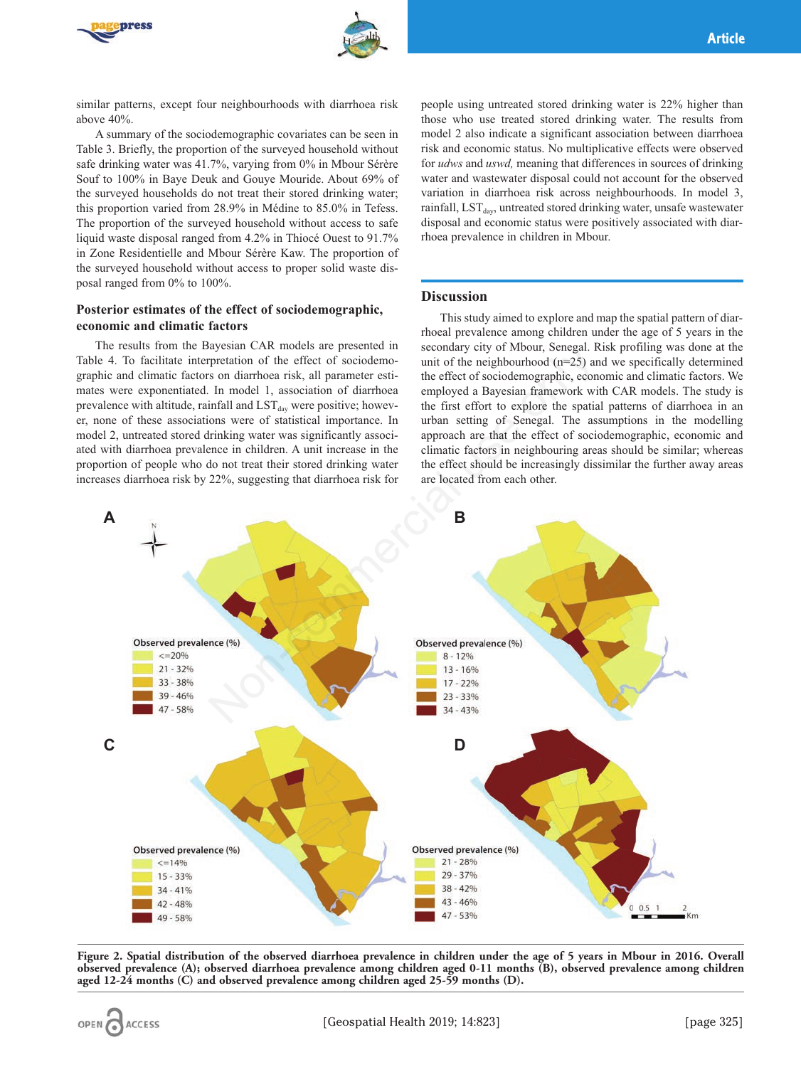



similar patterns, except four neighbourhoods with diarrhoea risk above 40%.

A summary of the sociodemographic covariates can be seen in Table 3. Briefly, the proportion of the surveyed household without safe drinking water was 41.7%, varying from 0% in Mbour Sérère Souf to 100% in Baye Deuk and Gouye Mouride. About 69% of the surveyed households do not treat their stored drinking water; this proportion varied from 28.9% in Médine to 85.0% in Tefess. The proportion of the surveyed household without access to safe liquid waste disposal ranged from 4.2% in Thiocé Ouest to 91.7% in Zone Residentielle and Mbour Sérère Kaw. The proportion of the surveyed household without access to proper solid waste disposal ranged from 0% to 100%.

# **Posterior estimates of the effect of sociodemographic, economic and climatic factors**

The results from the Bayesian CAR models are presented in Table 4. To facilitate interpretation of the effect of sociodemographic and climatic factors on diarrhoea risk, all parameter estimates were exponentiated. In model 1, association of diarrhoea prevalence with altitude, rainfall and  $LST<sub>day</sub>$  were positive; however, none of these associations were of statistical importance. In model 2, untreated stored drinking water was significantly associated with diarrhoea prevalence in children. A unit increase in the proportion of people who do not treat their stored drinking water increases diarrhoea risk by 22%, suggesting that diarrhoea risk for

people using untreated stored drinking water is 22% higher than those who use treated stored drinking water. The results from model 2 also indicate a significant association between diarrhoea risk and economic status. No multiplicative effects were observed for *udws* and *uswd,* meaning that differences in sources of drinking water and wastewater disposal could not account for the observed variation in diarrhoea risk across neighbourhoods. In model 3, rainfall,  $LST<sub>day</sub>$ , untreated stored drinking water, unsafe wastewater disposal and economic status were positively associated with diarrhoea prevalence in children in Mbour.

# **Discussion**

This study aimed to explore and map the spatial pattern of diarrhoeal prevalence among children under the age of 5 years in the secondary city of Mbour, Senegal. Risk profiling was done at the unit of the neighbourhood (n=25) and we specifically determined the effect of sociodemographic, economic and climatic factors. We employed a Bayesian framework with CAR models. The study is the first effort to explore the spatial patterns of diarrhoea in an urban setting of Senegal. The assumptions in the modelling approach are that the effect of sociodemographic, economic and climatic factors in neighbouring areas should be similar; whereas the effect should be increasingly dissimilar the further away areas are located from each other.



**Figure 2. Spatial distribution of the observed diarrhoea prevalence in children under the age of 5 years in Mbour in 2016. Overall observed prevalence (A); observed diarrhoea prevalence among children aged 0-11 months (B), observed prevalence among children aged 12-24 months (C) and observed prevalence among children aged 25-59 months (D).**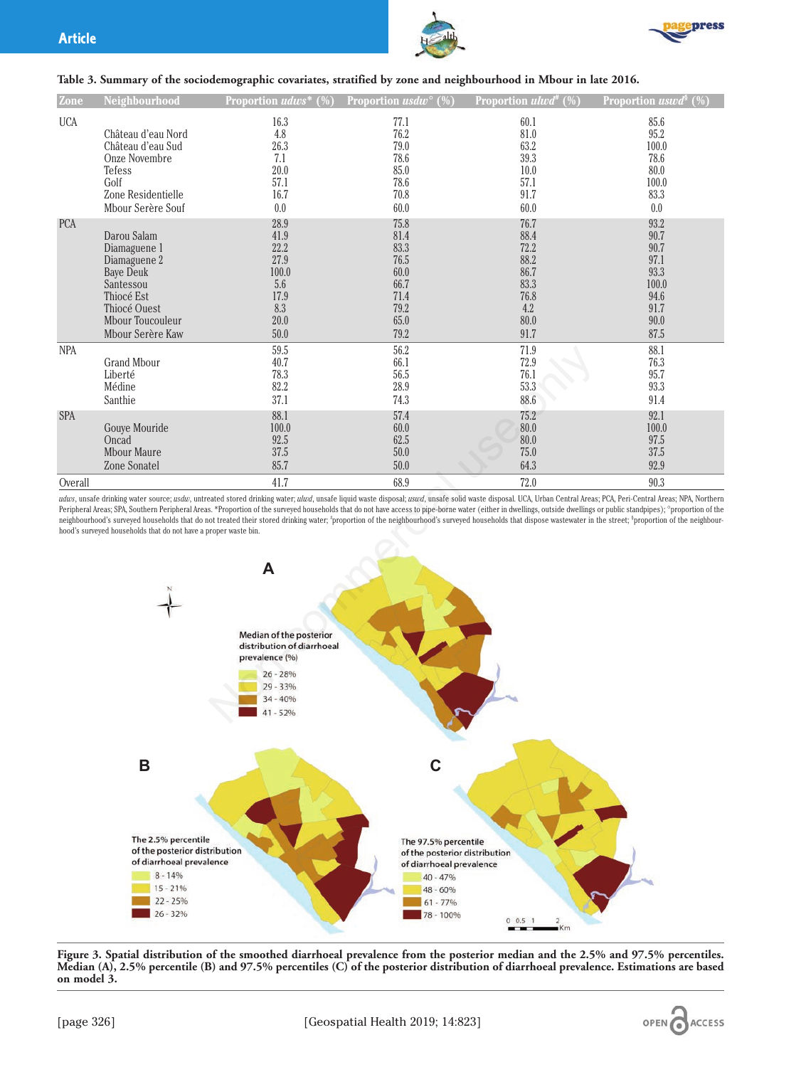



### **Table 3. Summary of the sociodemographic covariates, stratified by zone and neighbourhood in Mbour in late 2016.**

| Zone              | Neighbourhood                                                                                                                                      | Proportion udws*<br>$(%^{(0)}%$                                             | Proportion usd $w^{\circ}$ (%)                                               | Proportion ulwd <sup>#</sup> $(\%)$                                         | Proportion uswd <sup>§</sup><br>(%)                                           |
|-------------------|----------------------------------------------------------------------------------------------------------------------------------------------------|-----------------------------------------------------------------------------|------------------------------------------------------------------------------|-----------------------------------------------------------------------------|-------------------------------------------------------------------------------|
| <b>UCA</b>        | Château d'eau Nord<br>Château d'eau Sud<br>Onze Novembre<br>Tefess<br>Golf<br>Zone Residentielle<br>Mbour Serère Souf                              | 16.3<br>4.8<br>26.3<br>7.1<br>20.0<br>57.1<br>16.7<br>0.0                   | 77.1<br>76.2<br>79.0<br>78.6<br>85.0<br>78.6<br>70.8<br>60.0                 | 60.1<br>81.0<br>63.2<br>39.3<br>10.0<br>57.1<br>91.7<br>60.0                | 85.6<br>95.2<br>100.0<br>78.6<br>80.0<br>100.0<br>83.3<br>0.0                 |
| <b>PCA</b>        | Darou Salam<br>Diamaguene 1<br>Diamaguene 2<br><b>Baye Deuk</b><br>Santessou<br>Thiocé Est<br>Thiocé Ouest<br>Mbour Toucouleur<br>Mbour Serère Kaw | 28.9<br>41.9<br>22.2<br>27.9<br>100.0<br>5.6<br>17.9<br>8.3<br>20.0<br>50.0 | 75.8<br>81.4<br>83.3<br>76.5<br>60.0<br>66.7<br>71.4<br>79.2<br>65.0<br>79.2 | 76.7<br>88.4<br>72.2<br>88.2<br>86.7<br>83.3<br>76.8<br>4.2<br>80.0<br>91.7 | 93.2<br>90.7<br>90.7<br>97.1<br>93.3<br>100.0<br>94.6<br>91.7<br>90.0<br>87.5 |
| <b>NPA</b><br>SPA | <b>Grand Mbour</b><br>Liberté<br>Médine<br>Santhie                                                                                                 | 59.5<br>40.7<br>78.3<br>82.2<br>37.1<br>88.1                                | 56.2<br>66.1<br>56.5<br>28.9<br>74.3<br>57.4                                 | 71.9<br>72.9<br>76.1<br>53.3<br>88.6<br>75.2                                | 88.1<br>76.3<br>95.7<br>93.3<br>91.4<br>92.1                                  |
| Overall           | Gouye Mouride<br>Oncad<br><b>Mbour Maure</b><br>Zone Sonatel                                                                                       | 100.0<br>92.5<br>37.5<br>85.7<br>41.7                                       | 60.0<br>62.5<br>50.0<br>50.0<br>68.9                                         | 80.0<br>80.0<br>75.0<br>64.3<br>72.0                                        | 100.0<br>97.5<br>$37.5\,$<br>92.9<br>90.3                                     |

udws, unsafe drinking water source; usdw, untreated stored drinking water; ulwd, unsafe liquid waste disposal; uswd, unsafe solid waste disposal. UCA, Urban Central Areas; PCA, Peri-Central Areas; NPA, Northern Peripheral Areas; SPA, Southern Peripheral Areas. \*Proportion of the surveyed households that do not have access to pipe-borne water (either in dwellings, outside dwellings or public standpipes); °proportion of the neighbourhood's surveyed households that do not treated their stored drinking water; <sup>t</sup>proportion of the neighbourhood's surveyed households that dispose wastewater in the street; <sup>s</sup>proportion of the neighbourhood's surveyed households that do not have a proper waste bin.



**Figure 3. Spatial distribution of the smoothed diarrhoeal prevalence from the posterior median and the 2.5% and 97.5% percentiles. Median (A), 2.5% percentile (B) and 97.5% percentiles (C) of the posterior distribution of diarrhoeal prevalence. Estimations are based on model 3.**

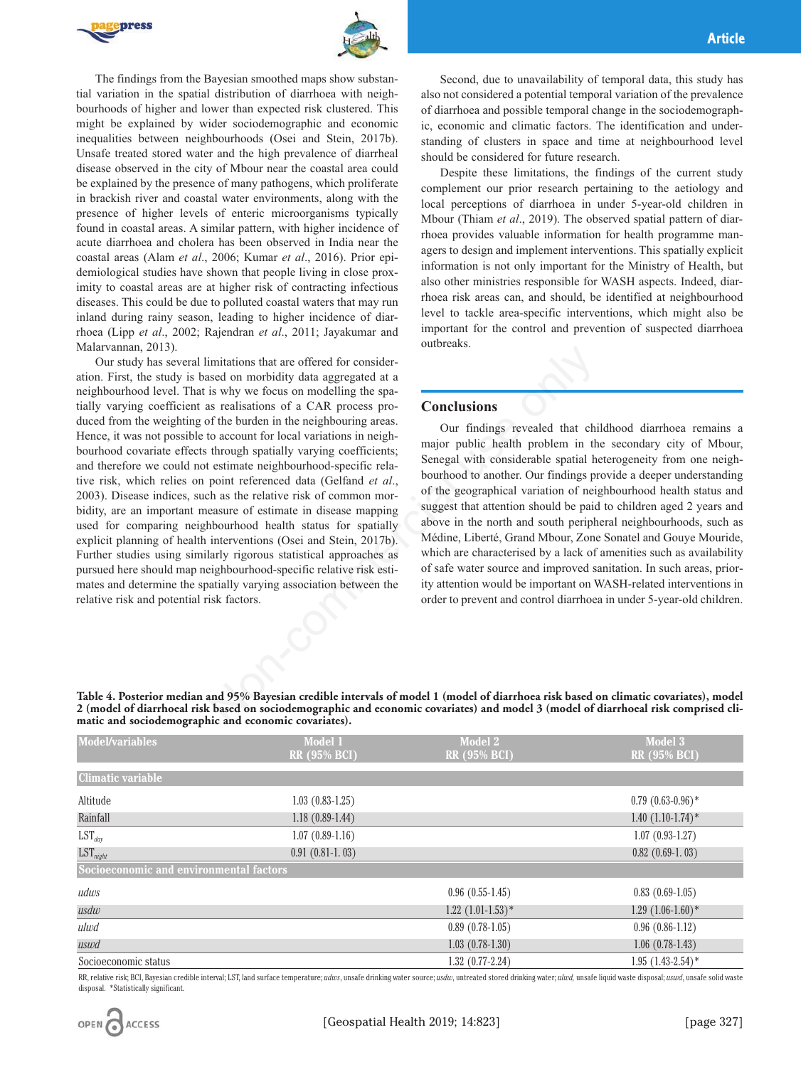



The findings from the Bayesian smoothed maps show substantial variation in the spatial distribution of diarrhoea with neighbourhoods of higher and lower than expected risk clustered. This might be explained by wider sociodemographic and economic inequalities between neighbourhoods (Osei and Stein, 2017b). Unsafe treated stored water and the high prevalence of diarrheal disease observed in the city of Mbour near the coastal area could be explained by the presence of many pathogens, which proliferate in brackish river and coastal water environments, along with the presence of higher levels of enteric microorganisms typically found in coastal areas. A similar pattern, with higher incidence of acute diarrhoea and cholera has been observed in India near the coastal areas (Alam *et al*., 2006; Kumar *et al*., 2016). Prior epidemiological studies have shown that people living in close proximity to coastal areas are at higher risk of contracting infectious diseases. This could be due to polluted coastal waters that may run inland during rainy season, leading to higher incidence of diarrhoea (Lipp *et al*., 2002; Rajendran *et al*., 2011; Jayakumar and Malarvannan, 2013).

Our study has several limitations that are offered for consideration. First, the study is based on morbidity data aggregated at a neighbourhood level. That is why we focus on modelling the spatially varying coefficient as realisations of a CAR process produced from the weighting of the burden in the neighbouring areas. Hence, it was not possible to account for local variations in neighbourhood covariate effects through spatially varying coefficients; and therefore we could not estimate neighbourhood-specific relative risk, which relies on point referenced data (Gelfand *et al*., 2003). Disease indices, such as the relative risk of common morbidity, are an important measure of estimate in disease mapping used for comparing neighbourhood health status for spatially explicit planning of health interventions (Osei and Stein, 2017b). Further studies using similarly rigorous statistical approaches as pursued here should map neighbourhood-specific relative risk estimates and determine the spatially varying association between the relative risk and potential risk factors. imitations that are offered for consider-<br>sead on morbidity data aggregated at a<br>is rely we focus on modelling the space-<br>is rely we found and process pro-<br>so a commedial proxime considering coefficients;<br>to account for l

Second, due to unavailability of temporal data, this study has also not considered a potential temporal variation of the prevalence of diarrhoea and possible temporal change in the sociodemographic, economic and climatic factors. The identification and understanding of clusters in space and time at neighbourhood level should be considered for future research.

Despite these limitations, the findings of the current study complement our prior research pertaining to the aetiology and local perceptions of diarrhoea in under 5-year-old children in Mbour (Thiam *et al*., 2019). The observed spatial pattern of diarrhoea provides valuable information for health programme managers to design and implement interventions. This spatially explicit information is not only important for the Ministry of Health, but also other ministries responsible for WASH aspects. Indeed, diarrhoea risk areas can, and should, be identified at neighbourhood level to tackle area-specific interventions, which might also be important for the control and prevention of suspected diarrhoea outbreaks.

#### **Conclusions**

Our findings revealed that childhood diarrhoea remains a major public health problem in the secondary city of Mbour, Senegal with considerable spatial heterogeneity from one neighbourhood to another. Our findings provide a deeper understanding of the geographical variation of neighbourhood health status and suggest that attention should be paid to children aged 2 years and above in the north and south peripheral neighbourhoods, such as Médine, Liberté, Grand Mbour, Zone Sonatel and Gouye Mouride, which are characterised by a lack of amenities such as availability of safe water source and improved sanitation. In such areas, priority attention would be important on WASH-related interventions in order to prevent and control diarrhoea in under 5-year-old children.

**Table 4. Posterior median and 95% Bayesian credible intervals of model 1 (model of diarrhoea risk based on climatic covariates), model 2 (model of diarrhoeal risk based on sociodemographic and economic covariates) and model 3 (model of diarrhoeal risk comprised climatic and sociodemographic and economic covariates).**

| <b>Model/variables</b>                  | Model 1<br><b>RR</b> (95% BCI) | Model 2<br><b>RR</b> (95% BCI) | Model 3<br><b>RR</b> (95% BCI) |  |  |  |
|-----------------------------------------|--------------------------------|--------------------------------|--------------------------------|--|--|--|
| <b>Climatic variable</b>                |                                |                                |                                |  |  |  |
| Altitude                                | $1.03(0.83-1.25)$              |                                | $0.79(0.63-0.96)$ *            |  |  |  |
| Rainfall                                | $1.18(0.89-1.44)$              |                                | $1.40(1.10-1.74)$ *            |  |  |  |
| $LST_{day}$                             | $1.07(0.89-1.16)$              |                                | $1.07(0.93-1.27)$              |  |  |  |
| $LST_{night}$                           | $0.91(0.81-1.03)$              |                                | $0.82$ $(0.69-1.03)$           |  |  |  |
| Socioeconomic and environmental factors |                                |                                |                                |  |  |  |
| udws                                    |                                | $0.96(0.55-1.45)$              | $0.83(0.69-1.05)$              |  |  |  |
| usdw                                    |                                | $1.22$ $(1.01-1.53)*$          | $1.29(1.06-1.60)*$             |  |  |  |
| ulwd                                    |                                | $0.89$ $(0.78-1.05)$           | $0.96(0.86-1.12)$              |  |  |  |
| uswd                                    |                                | $1.03(0.78-1.30)$              | $1.06(0.78-1.43)$              |  |  |  |
| Socioeconomic status                    |                                | $1.32(0.77-2.24)$              | $1.95(1.43-2.54)$ *            |  |  |  |

RR, relative risk; BCI, Bayesian credible interval; LST, land surface temperature; udws, unsafe drinking water source; usdw, untreated stored drinking water; ulwd, unsafe liquid waste disposal; uswd, unsafe solid waste disposal. \*Statistically significant.